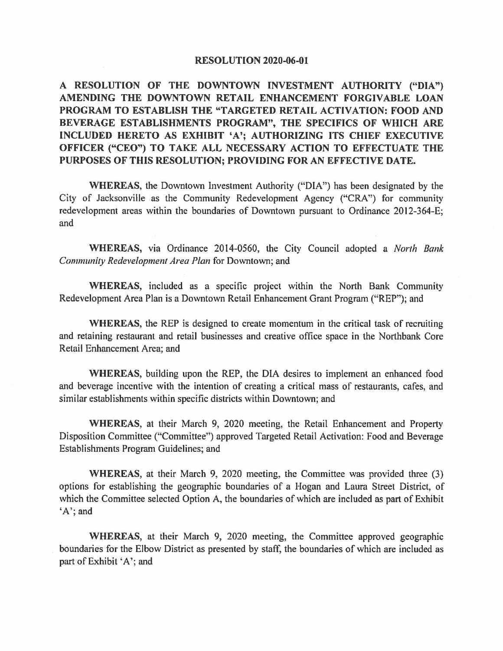#### **RESOLUTION 2020-06-01**

**A RESOLUTION OF THE DOWNTOWN INVESTMENT AUTHORITY ("DIA") AMENDING THE DOWNTOWN RETAIL ENHANCEMENT FORGIVABLE LOAN PROGRAM TO ESTABLISH THE "TARGETED RETAIL ACTIVATION: FOOD AND BEVERAGE ESTABLISHMENTS PROGRAM'', THE SPECIFICS OF WHICH ARE INCLUDED HERETO AS EXHIBIT 'A'; AUTHORIZING ITS CHIEF EXECUTIVE OFFICER ("CEO") TO TAKE ALL NECESSARY ACTION TO EFFECTUATE THE PURPOSES OF THIS RESOLUTION; PROVIDING FORAN EFFECTIVE DATE.** 

**WHEREAS,** the Downtown Investment Authority ("DIA") has been designated by the City of Jacksonville as the Community Redevelopment Agency ("CRA") for community redevelopment areas within the boundaries of Downtown pursuant to Ordinance 2012-364-E; and

**WHEREAS,** via Ordinance 2014-0560, the City Council adopted a *North Bank Community Redevelopment Area Plan* for Downtown; and

**WHEREAS,** included as a specific project within the North Bank Community Redevelopment Area Plan is a Downtown Retail Enhancement Grant Program ("REP"); and

**WHEREAS,** the REP is designed to create momentum in the critical task of recruiting and retaining restaurant and retail businesses and creative office space in the Northbank Core Retail Enhancement Area; and

**WHEREAS,** building upon the REP, the DIA desires to implement an enhanced food and beverage incentive with the intention of creating a critical mass of restaurants, cafes, and similar establishments within specific districts within Downtown; and

**WHEREAS,** at their March 9, 2020 meeting, the Retail Enhancement and Property Disposition Committee ("Committee") approved Targeted Retail Activation: Food and Beverage Establishments Program Guidelines; and

**WHEREAS,** at their March 9, 2020 meeting, the Committee was provided three (3) options for establishing the geographic boundaries of a Hogan and Laura Street District, of which the Committee selected Option A, the boundaries of which are included as part of Exhibit 'A'; and

**WHEREAS,** at their March 9, 2020 meeting, the Committee approved geographic boundaries for the Elbow District as presented by staff, the boundaries of which are included as part of Exhibit 'A'; and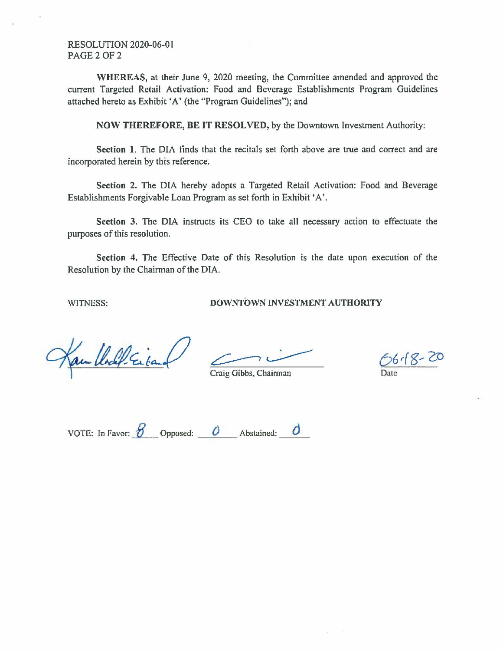RESOLUTION 2020-06-0 I PAGE 2 OF 2

**WHEREAS,** at their June 9, 2020 meeting, the Committee amended and approved the current Targeted Retail Activation: Food and Beverage Establishments Program Guidelines attached hereto as Exhibit 'A' (the "Program Guidelines"); and

**NOW THEREFORE, BE IT RESOLVED,** by the Downtown Investment Authority:

Section 1. The DIA finds that the recitals set forth above are true and correct and are incorporated herein by this reference.

**Section 2.** The DIA hereby adopts a Targeted Retail Activation: Food and Beverage Establishments Forgivable Loan Program as set forth in Exhibit 'A'.

Section 3. The DIA instructs its CEO to take all necessary action to effectuate the purposes of this resolution.

**Section 4.** The Effective Date of this Resolution is the date upon execution of the Resolution by the Chairman of the DIA.

WITNESS: **DOWNTOWN INVESTMENT AUTHORITY** 

am lladel Eiband

Craig Gibbs, Chairman

~~ *<sup>6</sup> 6r(~~* 2D

VOTE: In Favor:  $\overline{B}$  Opposed:  $\overline{O}$  Abstained:  $\overline{O}$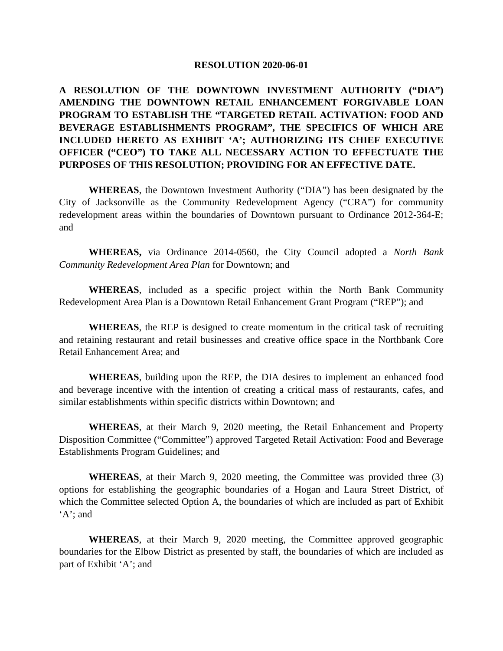#### **RESOLUTION 2020-06-01**

# **A RESOLUTION OF THE DOWNTOWN INVESTMENT AUTHORITY ("DIA") AMENDING THE DOWNTOWN RETAIL ENHANCEMENT FORGIVABLE LOAN PROGRAM TO ESTABLISH THE "TARGETED RETAIL ACTIVATION: FOOD AND BEVERAGE ESTABLISHMENTS PROGRAM", THE SPECIFICS OF WHICH ARE INCLUDED HERETO AS EXHIBIT 'A'; AUTHORIZING ITS CHIEF EXECUTIVE OFFICER ("CEO") TO TAKE ALL NECESSARY ACTION TO EFFECTUATE THE PURPOSES OF THIS RESOLUTION; PROVIDING FOR AN EFFECTIVE DATE.**

**WHEREAS**, the Downtown Investment Authority ("DIA") has been designated by the City of Jacksonville as the Community Redevelopment Agency ("CRA") for community redevelopment areas within the boundaries of Downtown pursuant to Ordinance 2012-364-E; and

**WHEREAS,** via Ordinance 2014-0560, the City Council adopted a *North Bank Community Redevelopment Area Plan* for Downtown; and

**WHEREAS**, included as a specific project within the North Bank Community Redevelopment Area Plan is a Downtown Retail Enhancement Grant Program ("REP"); and

**WHEREAS**, the REP is designed to create momentum in the critical task of recruiting and retaining restaurant and retail businesses and creative office space in the Northbank Core Retail Enhancement Area; and

**WHEREAS**, building upon the REP, the DIA desires to implement an enhanced food and beverage incentive with the intention of creating a critical mass of restaurants, cafes, and similar establishments within specific districts within Downtown; and

**WHEREAS**, at their March 9, 2020 meeting, the Retail Enhancement and Property Disposition Committee ("Committee") approved Targeted Retail Activation: Food and Beverage Establishments Program Guidelines; and

**WHEREAS**, at their March 9, 2020 meeting, the Committee was provided three (3) options for establishing the geographic boundaries of a Hogan and Laura Street District, of which the Committee selected Option A, the boundaries of which are included as part of Exhibit 'A'; and

**WHEREAS**, at their March 9, 2020 meeting, the Committee approved geographic boundaries for the Elbow District as presented by staff, the boundaries of which are included as part of Exhibit 'A'; and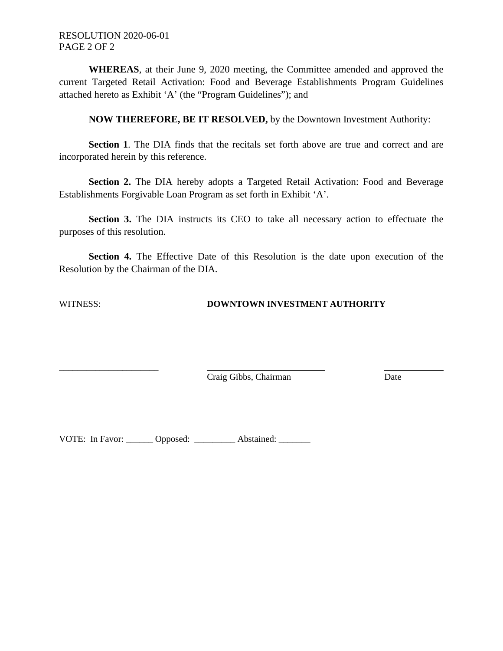**WHEREAS**, at their June 9, 2020 meeting, the Committee amended and approved the current Targeted Retail Activation: Food and Beverage Establishments Program Guidelines attached hereto as Exhibit 'A' (the "Program Guidelines"); and

**NOW THEREFORE, BE IT RESOLVED,** by the Downtown Investment Authority:

**Section 1**. The DIA finds that the recitals set forth above are true and correct and are incorporated herein by this reference.

Section 2. The DIA hereby adopts a Targeted Retail Activation: Food and Beverage Establishments Forgivable Loan Program as set forth in Exhibit 'A'.

**Section 3.** The DIA instructs its CEO to take all necessary action to effectuate the purposes of this resolution.

**Section 4.** The Effective Date of this Resolution is the date upon execution of the Resolution by the Chairman of the DIA.

\_\_\_\_\_\_\_\_\_\_\_\_\_\_\_\_\_\_\_\_\_\_

#### WITNESS: **DOWNTOWN INVESTMENT AUTHORITY**

Craig Gibbs, Chairman Date

VOTE: In Favor: \_\_\_\_\_\_ Opposed: \_\_\_\_\_\_\_\_\_ Abstained: \_\_\_\_\_\_\_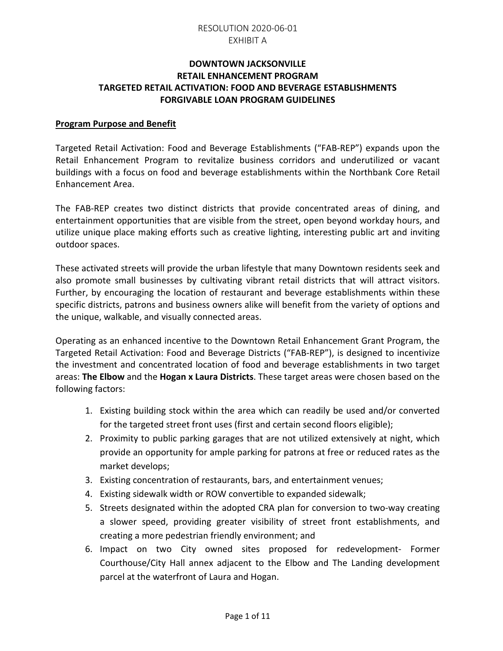### **DOWNTOWN JACKSONVILLE RETAIL ENHANCEMENT PROGRAM TARGETED RETAIL ACTIVATION: FOOD AND BEVERAGE ESTABLISHMENTS FORGIVABLE LOAN PROGRAM GUIDELINES**

#### **Program Purpose and Benefit**

Targeted Retail Activation: Food and Beverage Establishments ("FAB-REP") expands upon the Retail Enhancement Program to revitalize business corridors and underutilized or vacant buildings with a focus on food and beverage establishments within the Northbank Core Retail Enhancement Area.

The FAB-REP creates two distinct districts that provide concentrated areas of dining, and entertainment opportunities that are visible from the street, open beyond workday hours, and utilize unique place making efforts such as creative lighting, interesting public art and inviting outdoor spaces.

These activated streets will provide the urban lifestyle that many Downtown residents seek and also promote small businesses by cultivating vibrant retail districts that will attract visitors. Further, by encouraging the location of restaurant and beverage establishments within these specific districts, patrons and business owners alike will benefit from the variety of options and the unique, walkable, and visually connected areas.

Operating as an enhanced incentive to the Downtown Retail Enhancement Grant Program, the Targeted Retail Activation: Food and Beverage Districts ("FAB-REP"), is designed to incentivize the investment and concentrated location of food and beverage establishments in two target areas: **The Elbow** and the **Hogan x Laura Districts**. These target areas were chosen based on the following factors:

- 1. Existing building stock within the area which can readily be used and/or converted for the targeted street front uses (first and certain second floors eligible);
- 2. Proximity to public parking garages that are not utilized extensively at night, which provide an opportunity for ample parking for patrons at free or reduced rates as the market develops;
- 3. Existing concentration of restaurants, bars, and entertainment venues;
- 4. Existing sidewalk width or ROW convertible to expanded sidewalk;
- 5. Streets designated within the adopted CRA plan for conversion to two-way creating a slower speed, providing greater visibility of street front establishments, and creating a more pedestrian friendly environment; and
- 6. Impact on two City owned sites proposed for redevelopment- Former Courthouse/City Hall annex adjacent to the Elbow and The Landing development parcel at the waterfront of Laura and Hogan.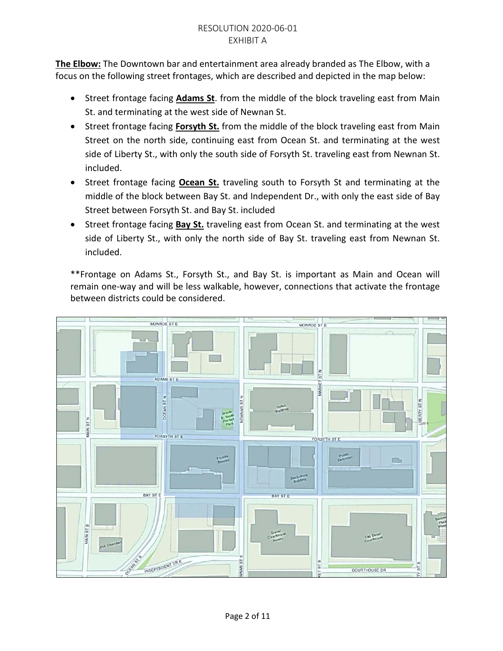**The Elbow:** The Downtown bar and entertainment area already branded as The Elbow, with a focus on the following street frontages, which are described and depicted in the map below:

- Street frontage facing **Adams St**. from the middle of the block traveling east from Main St. and terminating at the west side of Newnan St.
- Street frontage facing **Forsyth St.** from the middle of the block traveling east from Main Street on the north side, continuing east from Ocean St. and terminating at the west side of Liberty St., with only the south side of Forsyth St. traveling east from Newnan St. included.
- Street frontage facing **Ocean St.** traveling south to Forsyth St and terminating at the middle of the block between Bay St. and Independent Dr., with only the east side of Bay Street between Forsyth St. and Bay St. included
- Street frontage facing **Bay St.** traveling east from Ocean St. and terminating at the west side of Liberty St., with only the north side of Bay St. traveling east from Newnan St. included.

\*\*Frontage on Adams St., Forsyth St., and Bay St. is important as Main and Ocean will remain one-way and will be less walkable, however, connections that activate the frontage between districts could be considered.

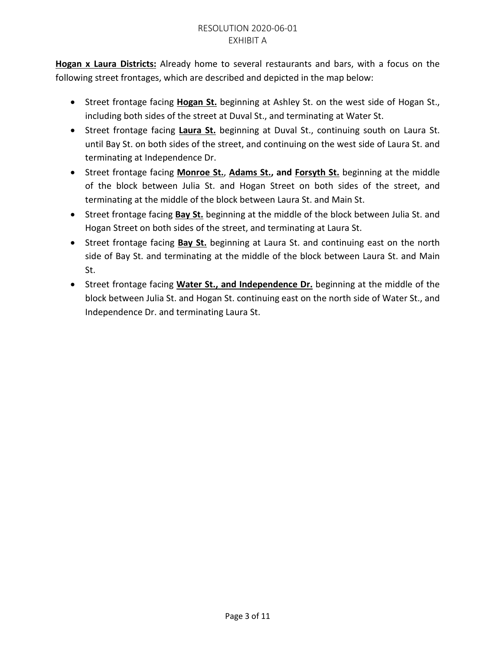**Hogan x Laura Districts:** Already home to several restaurants and bars, with a focus on the following street frontages, which are described and depicted in the map below:

- Street frontage facing **Hogan St.** beginning at Ashley St. on the west side of Hogan St., including both sides of the street at Duval St., and terminating at Water St.
- Street frontage facing **Laura St.** beginning at Duval St., continuing south on Laura St. until Bay St. on both sides of the street, and continuing on the west side of Laura St. and terminating at Independence Dr.
- Street frontage facing **Monroe St.**, **Adams St., and Forsyth St.** beginning at the middle of the block between Julia St. and Hogan Street on both sides of the street, and terminating at the middle of the block between Laura St. and Main St.
- Street frontage facing **Bay St.** beginning at the middle of the block between Julia St. and Hogan Street on both sides of the street, and terminating at Laura St.
- Street frontage facing **Bay St.** beginning at Laura St. and continuing east on the north side of Bay St. and terminating at the middle of the block between Laura St. and Main St.
- Street frontage facing **Water St., and Independence Dr.** beginning at the middle of the block between Julia St. and Hogan St. continuing east on the north side of Water St., and Independence Dr. and terminating Laura St.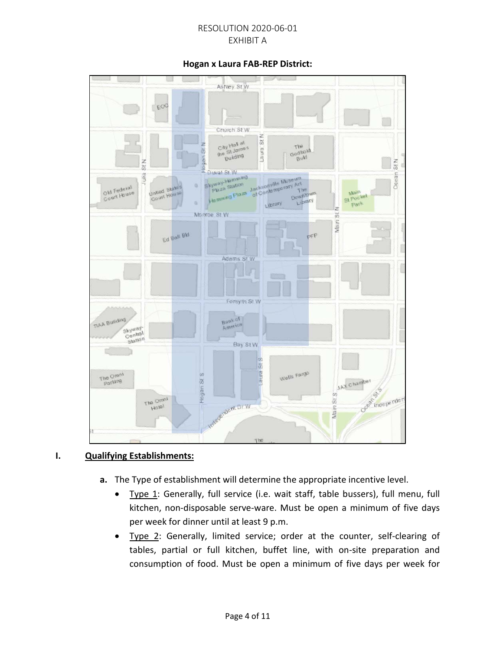#### **Hogan x Laura FAB-REP District:**



#### **I. Qualifying Establishments:**

- **a.** The Type of establishment will determine the appropriate incentive level.
	- Type 1: Generally, full service (i.e. wait staff, table bussers), full menu, full kitchen, non-disposable serve-ware. Must be open a minimum of five days per week for dinner until at least 9 p.m.
	- Type 2: Generally, limited service; order at the counter, self-clearing of tables, partial or full kitchen, buffet line, with on-site preparation and consumption of food. Must be open a minimum of five days per week for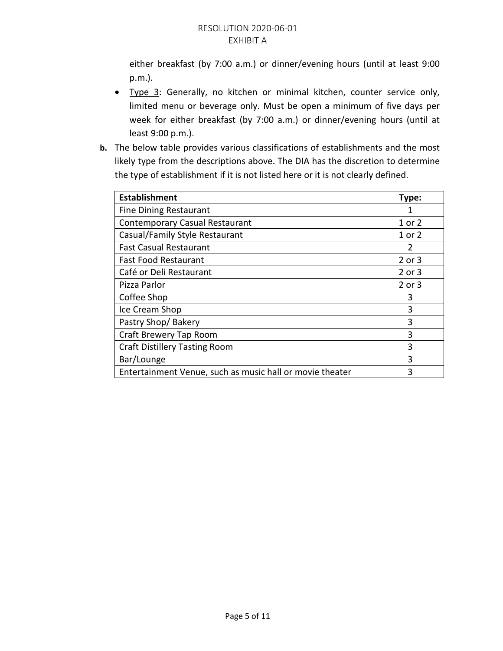either breakfast (by 7:00 a.m.) or dinner/evening hours (until at least 9:00 p.m.).

- Type 3: Generally, no kitchen or minimal kitchen, counter service only, limited menu or beverage only. Must be open a minimum of five days per week for either breakfast (by 7:00 a.m.) or dinner/evening hours (until at least 9:00 p.m.).
- **b.** The below table provides various classifications of establishments and the most likely type from the descriptions above. The DIA has the discretion to determine the type of establishment if it is not listed here or it is not clearly defined.

| <b>Establishment</b>                                     | Type:         |
|----------------------------------------------------------|---------------|
| <b>Fine Dining Restaurant</b>                            | 1             |
| <b>Contemporary Casual Restaurant</b>                    | 1 or 2        |
| Casual/Family Style Restaurant                           | 1 or 2        |
| <b>Fast Casual Restaurant</b>                            | $\mathcal{P}$ |
| <b>Fast Food Restaurant</b>                              | 2 or 3        |
| Café or Deli Restaurant                                  | 2 or 3        |
| Pizza Parlor                                             | 2 or 3        |
| Coffee Shop                                              | 3             |
| Ice Cream Shop                                           | 3             |
| Pastry Shop/Bakery                                       | 3             |
| Craft Brewery Tap Room                                   | 3             |
| <b>Craft Distillery Tasting Room</b>                     | 3             |
| Bar/Lounge                                               | 3             |
| Entertainment Venue, such as music hall or movie theater | 3             |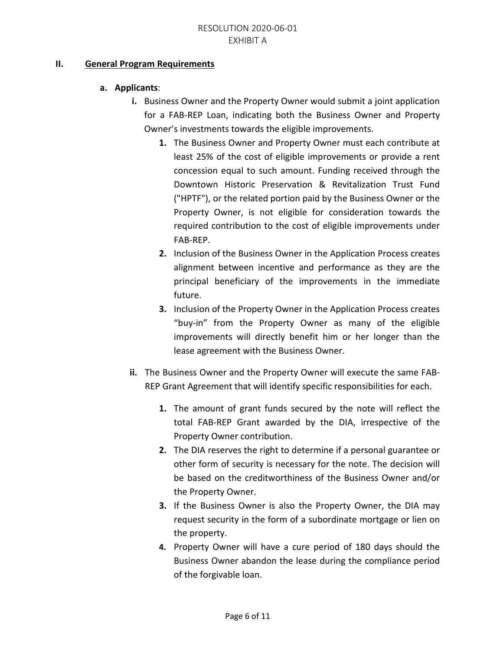#### **II. General Program Requirements**

## **a. Applicants**:

- **i.** Business Owner and the Property Owner would submit a joint application for a FAB-REP Loan, indicating both the Business Owner and Property Owner's investments towards the eligible improvements.
	- **1.** The Business Owner and Property Owner must each contribute at least 25% of the cost of eligible improvements or provide a rent concession equal to such amount. Funding received through the Downtown Historic Preservation & Revitalization Trust Fund ("HPTF"), or the related portion paid by the Business Owner or the Property Owner, is not eligible for consideration towards the required contribution to the cost of eligible improvements under FAB-REP.
	- **2.** Inclusion of the Business Owner in the Application Process creates alignment between incentive and performance as they are the principal beneficiary of the improvements in the immediate future.
	- **3.** Inclusion of the Property Owner in the Application Process creates "buy-in" from the Property Owner as many of the eligible improvements will directly benefit him or her longer than the lease agreement with the Business Owner.
- **ii.** The Business Owner and the Property Owner will execute the same FAB-REP Grant Agreement that will identify specific responsibilities for each.
	- **1.** The amount of grant funds secured by the note will reflect the total FAB-REP Grant awarded by the DIA, irrespective of the Property Owner contribution.
	- **2.** The DIA reserves the right to determine if a personal guarantee or other form of security is necessary for the note. The decision will be based on the creditworthiness of the Business Owner and/or the Property Owner.
	- **3.** If the Business Owner is also the Property Owner, the DIA may request security in the form of a subordinate mortgage or lien on the property.
	- **4.** Property Owner will have a cure period of 180 days should the Business Owner abandon the lease during the compliance period of the forgivable loan.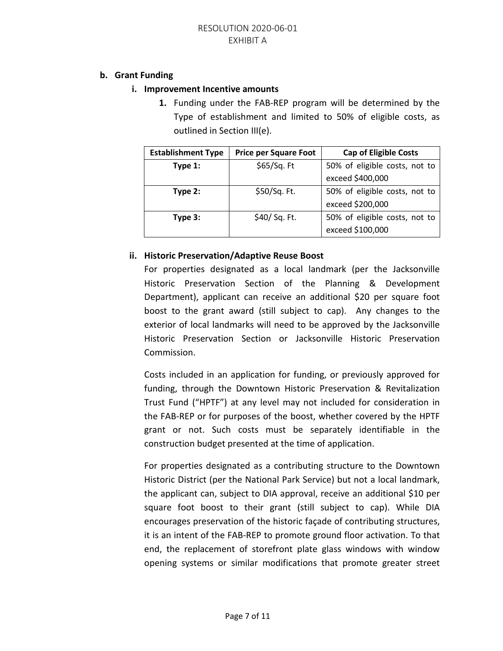#### **b. Grant Funding**

### **i. Improvement Incentive amounts**

**1.** Funding under the FAB-REP program will be determined by the Type of establishment and limited to 50% of eligible costs, as outlined in Section III(e).

| <b>Establishment Type</b> | <b>Price per Square Foot</b> | <b>Cap of Eligible Costs</b>  |
|---------------------------|------------------------------|-------------------------------|
| Type 1:                   | \$65/Sq. Ft                  | 50% of eligible costs, not to |
|                           |                              | exceed \$400,000              |
| Type 2:                   | \$50/Sq. Ft.                 | 50% of eligible costs, not to |
|                           |                              | exceed \$200,000              |
| Type 3:                   | \$40/ Sq. Ft.                | 50% of eligible costs, not to |
|                           |                              | exceed \$100,000              |

### **ii. Historic Preservation/Adaptive Reuse Boost**

For properties designated as a local landmark (per the Jacksonville Historic Preservation Section of the Planning & Development Department), applicant can receive an additional \$20 per square foot boost to the grant award (still subject to cap). Any changes to the exterior of local landmarks will need to be approved by the Jacksonville Historic Preservation Section or Jacksonville Historic Preservation Commission.

Costs included in an application for funding, or previously approved for funding, through the Downtown Historic Preservation & Revitalization Trust Fund ("HPTF") at any level may not included for consideration in the FAB-REP or for purposes of the boost, whether covered by the HPTF grant or not. Such costs must be separately identifiable in the construction budget presented at the time of application.

For properties designated as a contributing structure to the Downtown Historic District (per the National Park Service) but not a local landmark, the applicant can, subject to DIA approval, receive an additional \$10 per square foot boost to their grant (still subject to cap). While DIA encourages preservation of the historic façade of contributing structures, it is an intent of the FAB-REP to promote ground floor activation. To that end, the replacement of storefront plate glass windows with window opening systems or similar modifications that promote greater street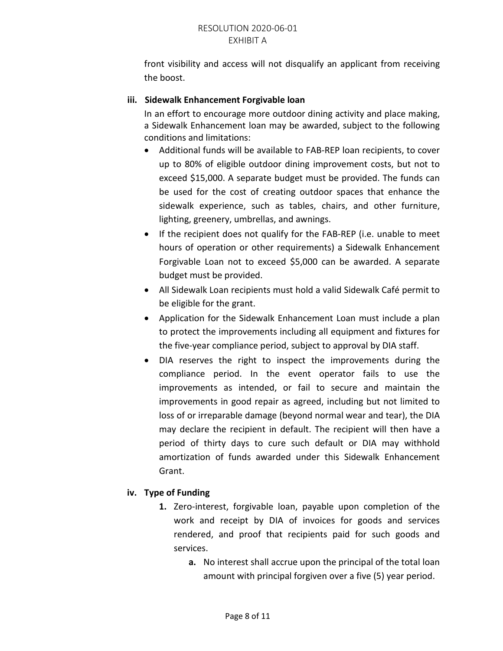front visibility and access will not disqualify an applicant from receiving the boost.

# **iii. Sidewalk Enhancement Forgivable loan**

In an effort to encourage more outdoor dining activity and place making, a Sidewalk Enhancement loan may be awarded, subject to the following conditions and limitations:

- Additional funds will be available to FAB-REP loan recipients, to cover up to 80% of eligible outdoor dining improvement costs, but not to exceed \$15,000. A separate budget must be provided. The funds can be used for the cost of creating outdoor spaces that enhance the sidewalk experience, such as tables, chairs, and other furniture, lighting, greenery, umbrellas, and awnings.
- If the recipient does not qualify for the FAB-REP (i.e. unable to meet hours of operation or other requirements) a Sidewalk Enhancement Forgivable Loan not to exceed \$5,000 can be awarded. A separate budget must be provided.
- All Sidewalk Loan recipients must hold a valid Sidewalk Café permit to be eligible for the grant.
- Application for the Sidewalk Enhancement Loan must include a plan to protect the improvements including all equipment and fixtures for the five-year compliance period, subject to approval by DIA staff.
- DIA reserves the right to inspect the improvements during the compliance period. In the event operator fails to use the improvements as intended, or fail to secure and maintain the improvements in good repair as agreed, including but not limited to loss of or irreparable damage (beyond normal wear and tear), the DIA may declare the recipient in default. The recipient will then have a period of thirty days to cure such default or DIA may withhold amortization of funds awarded under this Sidewalk Enhancement Grant.

# **iv. Type of Funding**

- **1.** Zero-interest, forgivable loan, payable upon completion of the work and receipt by DIA of invoices for goods and services rendered, and proof that recipients paid for such goods and services.
	- **a.** No interest shall accrue upon the principal of the total loan amount with principal forgiven over a five (5) year period.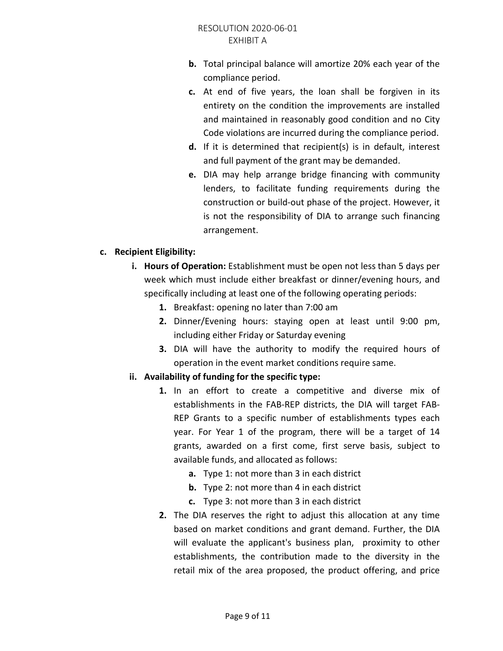- **b.** Total principal balance will amortize 20% each year of the compliance period.
- **c.** At end of five years, the loan shall be forgiven in its entirety on the condition the improvements are installed and maintained in reasonably good condition and no City Code violations are incurred during the compliance period.
- **d.** If it is determined that recipient(s) is in default, interest and full payment of the grant may be demanded.
- **e.** DIA may help arrange bridge financing with community lenders, to facilitate funding requirements during the construction or build-out phase of the project. However, it is not the responsibility of DIA to arrange such financing arrangement.

### **c. Recipient Eligibility:**

- **i. Hours of Operation:** Establishment must be open not less than 5 days per week which must include either breakfast or dinner/evening hours, and specifically including at least one of the following operating periods:
	- **1.** Breakfast: opening no later than 7:00 am
	- **2.** Dinner/Evening hours: staying open at least until 9:00 pm, including either Friday or Saturday evening
	- **3.** DIA will have the authority to modify the required hours of operation in the event market conditions require same.

# **ii. Availability of funding for the specific type:**

- **1.** In an effort to create a competitive and diverse mix of establishments in the FAB-REP districts, the DIA will target FAB-REP Grants to a specific number of establishments types each year. For Year 1 of the program, there will be a target of 14 grants, awarded on a first come, first serve basis, subject to available funds, and allocated as follows:
	- **a.** Type 1: not more than 3 in each district
	- **b.** Type 2: not more than 4 in each district
	- **c.** Type 3: not more than 3 in each district
- **2.** The DIA reserves the right to adjust this allocation at any time based on market conditions and grant demand. Further, the DIA will evaluate the applicant's business plan, proximity to other establishments, the contribution made to the diversity in the retail mix of the area proposed, the product offering, and price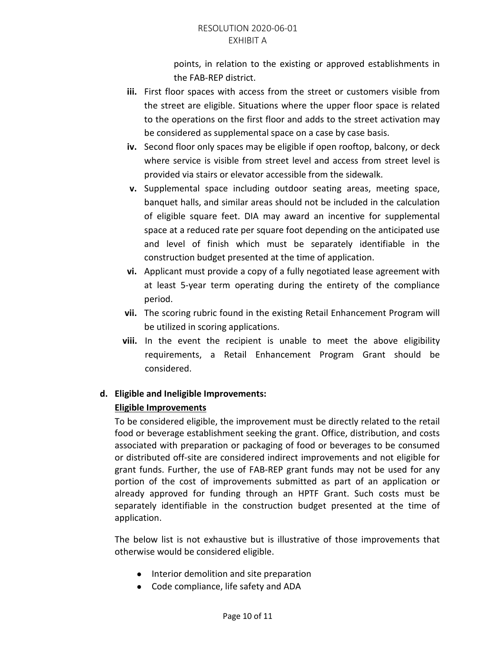points, in relation to the existing or approved establishments in the FAB-REP district.

- **iii.** First floor spaces with access from the street or customers visible from the street are eligible. Situations where the upper floor space is related to the operations on the first floor and adds to the street activation may be considered as supplemental space on a case by case basis.
- **iv.** Second floor only spaces may be eligible if open rooftop, balcony, or deck where service is visible from street level and access from street level is provided via stairs or elevator accessible from the sidewalk.
- **v.** Supplemental space including outdoor seating areas, meeting space, banquet halls, and similar areas should not be included in the calculation of eligible square feet. DIA may award an incentive for supplemental space at a reduced rate per square foot depending on the anticipated use and level of finish which must be separately identifiable in the construction budget presented at the time of application.
- **vi.** Applicant must provide a copy of a fully negotiated lease agreement with at least 5-year term operating during the entirety of the compliance period.
- **vii.** The scoring rubric found in the existing Retail Enhancement Program will be utilized in scoring applications.
- **viii.** In the event the recipient is unable to meet the above eligibility requirements, a Retail Enhancement Program Grant should be considered.

# **d. Eligible and Ineligible Improvements:**

# **Eligible Improvements**

To be considered eligible, the improvement must be directly related to the retail food or beverage establishment seeking the grant. Office, distribution, and costs associated with preparation or packaging of food or beverages to be consumed or distributed off-site are considered indirect improvements and not eligible for grant funds. Further, the use of FAB-REP grant funds may not be used for any portion of the cost of improvements submitted as part of an application or already approved for funding through an HPTF Grant. Such costs must be separately identifiable in the construction budget presented at the time of application.

The below list is not exhaustive but is illustrative of those improvements that otherwise would be considered eligible.

- Interior demolition and site preparation
- Code compliance, life safety and ADA